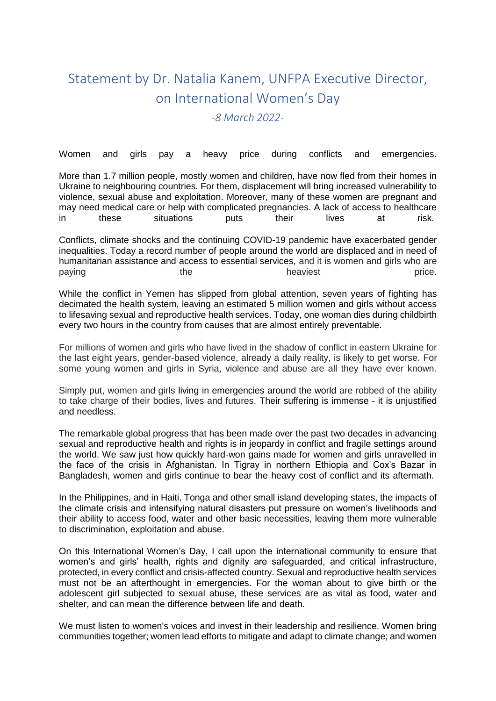## Statement by Dr. Natalia Kanem, UNFPA Executive Director, on International Women's Day

*-8 March 2022-*

Women and girls pay a heavy price during conflicts and emergencies.

More than 1.7 million people, mostly women and children, have now fled from their homes in Ukraine to neighbouring countries. For them, displacement will bring increased vulnerability to violence, sexual abuse and exploitation. Moreover, many of these women are pregnant and may need medical care or help with complicated pregnancies. A lack of access to healthcare in these situations puts their lives at risk.

Conflicts, climate shocks and the continuing COVID-19 pandemic have exacerbated gender inequalities. Today a record number of people around the world are displaced and in need of humanitarian assistance and access to essential services, and it is women and girls who are paying the the heaviest price.

While the conflict in Yemen has slipped from global attention, seven years of fighting has decimated the health system, leaving an estimated 5 million women and girls without access to lifesaving sexual and reproductive health services. Today, one woman dies during childbirth every two hours in the country from causes that are almost entirely preventable.

For millions of women and girls who have lived in the shadow of conflict in eastern Ukraine for the last eight years, gender-based violence, already a daily reality, is likely to get worse. For some young women and girls in Syria, violence and abuse are all they have ever known.

Simply put, women and girls living in emergencies around the world are robbed of the ability to take charge of their bodies, lives and futures. Their suffering is immense - it is unjustified and needless.

The remarkable global progress that has been made over the past two decades in advancing sexual and reproductive health and rights is in jeopardy in conflict and fragile settings around the world. We saw just how quickly hard-won gains made for women and girls unravelled in the face of the crisis in Afghanistan. In Tigray in northern Ethiopia and Cox's Bazar in Bangladesh, women and girls continue to bear the heavy cost of conflict and its aftermath.

In the Philippines, and in Haiti, Tonga and other small island developing states, the impacts of the climate crisis and intensifying natural disasters put pressure on women's livelihoods and their ability to access food, water and other basic necessities, leaving them more vulnerable to discrimination, exploitation and abuse.

On this International Women's Day, I call upon the international community to ensure that women's and girls' health, rights and dignity are safeguarded, and critical infrastructure, protected, in every conflict and crisis-affected country. Sexual and reproductive health services must not be an afterthought in emergencies. For the woman about to give birth or the adolescent girl subjected to sexual abuse, these services are as vital as food, water and shelter, and can mean the difference between life and death.

We must listen to women's voices and invest in their leadership and resilience. Women bring communities together; women lead efforts to mitigate and adapt to climate change; and women